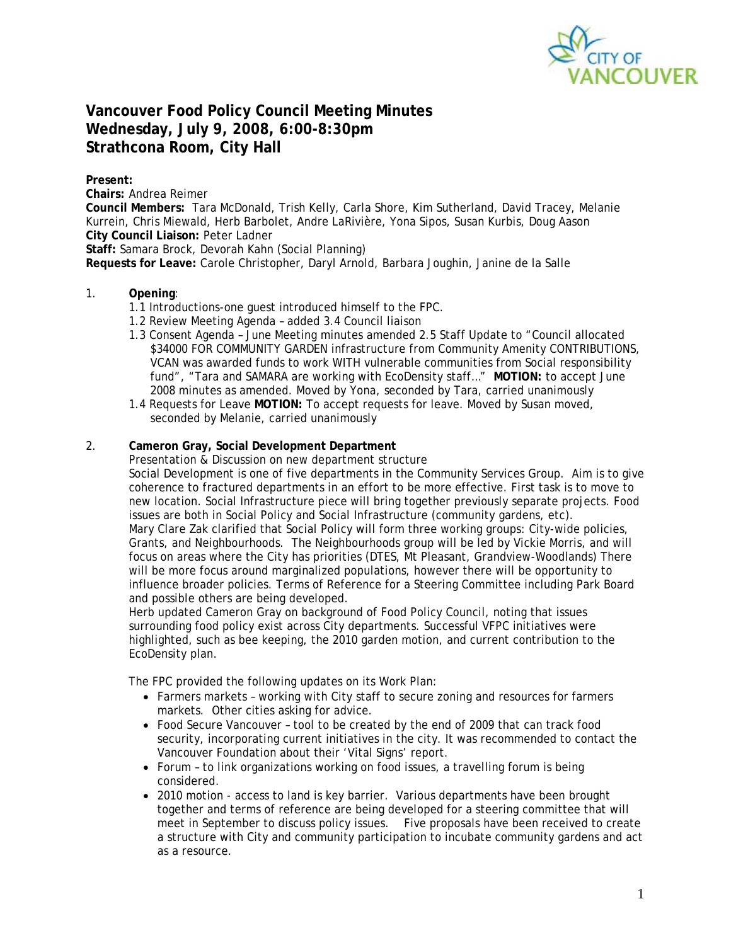

# **Vancouver Food Policy Council Meeting Minutes Wednesday, July 9, 2008, 6:00-8:30pm Strathcona Room, City Hall**

## **Present:**

**Chairs:** Andrea Reimer

**Council Members:** Tara McDonald, Trish Kelly, Carla Shore, Kim Sutherland, David Tracey, Melanie Kurrein, Chris Miewald, Herb Barbolet, Andre LaRivière, Yona Sipos, Susan Kurbis, Doug Aason **City Council Liaison:** Peter Ladner

**Staff:** Samara Brock, Devorah Kahn (Social Planning)

**Requests for Leave:** Carole Christopher, Daryl Arnold, Barbara Joughin, Janine de la Salle

## 1. **Opening**:

- 1.1 Introductions-one guest introduced himself to the FPC.
- 1.2 Review Meeting Agenda added 3.4 Council liaison
- 1.3 Consent Agenda June Meeting minutes amended 2.5 Staff Update to "Council allocated \$34000 FOR COMMUNITY GARDEN infrastructure from Community Amenity CONTRIBUTIONS, VCAN was awarded funds to work WITH vulnerable communities from Social responsibility fund", "Tara and SAMARA are working with EcoDensity staff…" **MOTION:** to accept June 2008 minutes as amended. Moved by Yona, seconded by Tara, carried unanimously
- 1.4 Requests for Leave **MOTION:** To accept requests for leave. Moved by Susan moved, seconded by Melanie, carried unanimously

# 2. **Cameron Gray, Social Development Department**

Presentation & Discussion on new department structure

Social Development is one of five departments in the Community Services Group. Aim is to give coherence to fractured departments in an effort to be more effective. First task is to move to new location. Social Infrastructure piece will bring together previously separate projects. Food issues are both in Social Policy and Social Infrastructure (community gardens, etc). Mary Clare Zak clarified that Social Policy will form three working groups: City-wide policies, Grants, and Neighbourhoods. The Neighbourhoods group will be led by Vickie Morris, and will focus on areas where the City has priorities (DTES, Mt Pleasant, Grandview-Woodlands) There will be more focus around marginalized populations, however there will be opportunity to influence broader policies. Terms of Reference for a Steering Committee including Park Board and possible others are being developed.

Herb updated Cameron Gray on background of Food Policy Council, noting that issues surrounding food policy exist across City departments. Successful VFPC initiatives were highlighted, such as bee keeping, the 2010 garden motion, and current contribution to the EcoDensity plan.

The FPC provided the following updates on its Work Plan:

- Farmers markets working with City staff to secure zoning and resources for farmers markets. Other cities asking for advice.
- Food Secure Vancouver tool to be created by the end of 2009 that can track food security, incorporating current initiatives in the city. It was recommended to contact the Vancouver Foundation about their 'Vital Signs' report.
- Forum to link organizations working on food issues, a travelling forum is being considered.
- 2010 motion access to land is key barrier. Various departments have been brought together and terms of reference are being developed for a steering committee that will meet in September to discuss policy issues. Five proposals have been received to create a structure with City and community participation to incubate community gardens and act as a resource.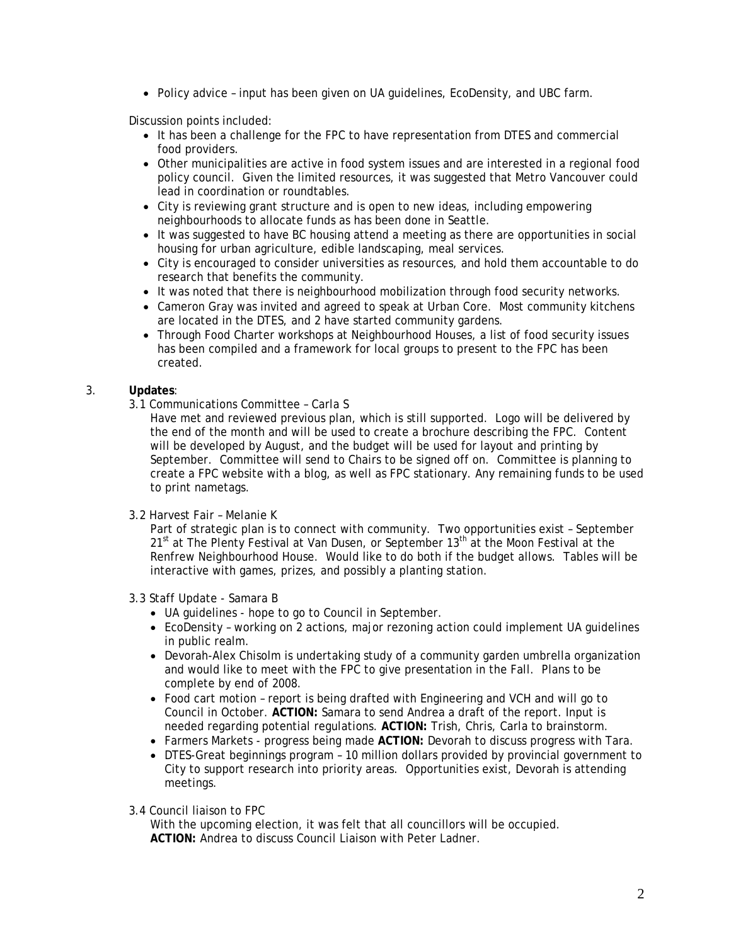• Policy advice – input has been given on UA guidelines, EcoDensity, and UBC farm.

Discussion points included:

- It has been a challenge for the FPC to have representation from DTES and commercial food providers.
- Other municipalities are active in food system issues and are interested in a regional food policy council. Given the limited resources, it was suggested that Metro Vancouver could lead in coordination or roundtables.
- City is reviewing grant structure and is open to new ideas, including empowering neighbourhoods to allocate funds as has been done in Seattle.
- It was suggested to have BC housing attend a meeting as there are opportunities in social housing for urban agriculture, edible landscaping, meal services.
- City is encouraged to consider universities as resources, and hold them accountable to do research that benefits the community.
- It was noted that there is neighbourhood mobilization through food security networks.
- Cameron Gray was invited and agreed to speak at Urban Core. Most community kitchens are located in the DTES, and 2 have started community gardens.
- Through Food Charter workshops at Neighbourhood Houses, a list of food security issues has been compiled and a framework for local groups to present to the FPC has been created.

## 3. **Updates**:

3.1 Communications Committee – Carla S

Have met and reviewed previous plan, which is still supported. Logo will be delivered by the end of the month and will be used to create a brochure describing the FPC. Content will be developed by August, and the budget will be used for layout and printing by September. Committee will send to Chairs to be signed off on. Committee is planning to create a FPC website with a blog, as well as FPC stationary. Any remaining funds to be used to print nametags.

3.2 Harvest Fair – Melanie K

Part of strategic plan is to connect with community. Two opportunities exist – September  $21<sup>st</sup>$  at The Plenty Festival at Van Dusen, or September 13<sup>th</sup> at the Moon Festival at the Renfrew Neighbourhood House. Would like to do both if the budget allows. Tables will be interactive with games, prizes, and possibly a planting station.

- 3.3 Staff Update Samara B
	- UA guidelines hope to go to Council in September.
	- EcoDensity working on 2 actions, major rezoning action could implement UA guidelines in public realm.
	- Devorah-Alex Chisolm is undertaking study of a community garden umbrella organization and would like to meet with the FPC to give presentation in the Fall. Plans to be complete by end of 2008.
	- Food cart motion report is being drafted with Engineering and VCH and will go to Council in October. **ACTION:** Samara to send Andrea a draft of the report. Input is needed regarding potential regulations. **ACTION:** Trish, Chris, Carla to brainstorm.
	- Farmers Markets progress being made **ACTION:** Devorah to discuss progress with Tara.
	- DTES-Great beginnings program 10 million dollars provided by provincial government to City to support research into priority areas. Opportunities exist, Devorah is attending meetings.

#### 3.4 Council liaison to FPC

With the upcoming election, it was felt that all councillors will be occupied. **ACTION:** Andrea to discuss Council Liaison with Peter Ladner.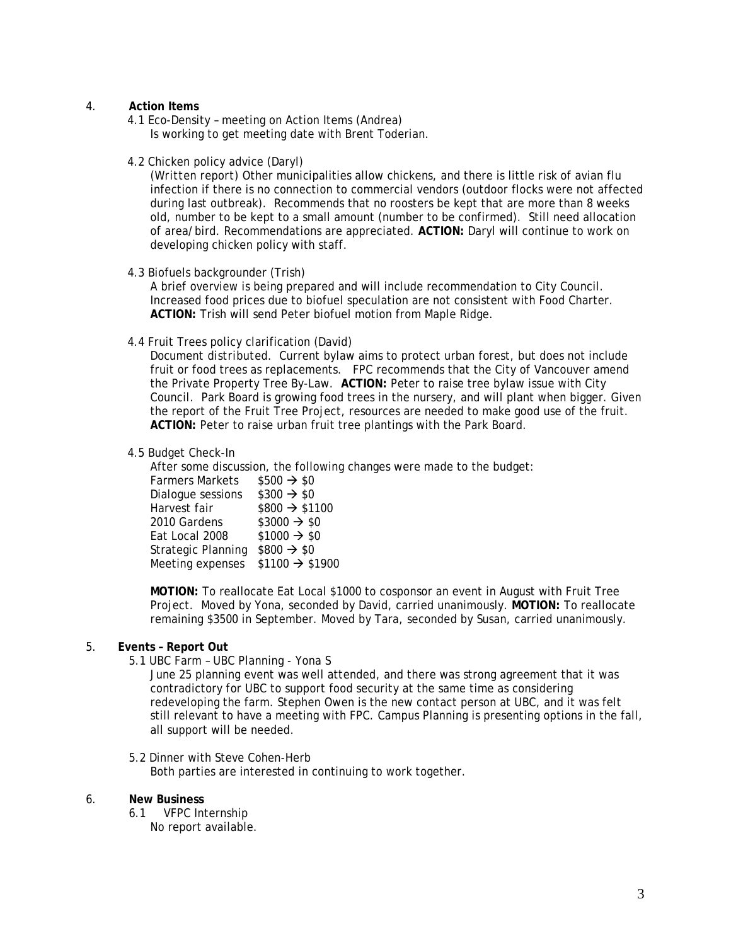## 4. **Action Items**

- 4.1 Eco-Density meeting on Action Items (Andrea) Is working to get meeting date with Brent Toderian.
- 4.2 Chicken policy advice (Daryl)

*(Written report)* Other municipalities allow chickens, and there is little risk of avian flu infection if there is no connection to commercial vendors (outdoor flocks were not affected during last outbreak). Recommends that no roosters be kept that are more than 8 weeks old, number to be kept to a small amount (number to be confirmed). Still need allocation of area/bird. Recommendations are appreciated. **ACTION:** Daryl will continue to work on developing chicken policy with staff.

4.3 Biofuels backgrounder (Trish)

A brief overview is being prepared and will include recommendation to City Council. Increased food prices due to biofuel speculation are not consistent with Food Charter. **ACTION:** Trish will send Peter biofuel motion from Maple Ridge.

4.4 Fruit Trees policy clarification (David)

*Document distributed.* Current bylaw aims to protect urban forest, but does not include fruit or food trees as replacements. FPC recommends that the City of Vancouver amend the Private Property Tree By-Law. **ACTION:** Peter to raise tree bylaw issue with City Council. Park Board is growing food trees in the nursery, and will plant when bigger. Given the report of the Fruit Tree Project, resources are needed to make good use of the fruit. **ACTION:** Peter to raise urban fruit tree plantings with the Park Board.

4.5 Budget Check-In

After some discussion, the following changes were made to the budget:

| <b>Farmers Markets</b>    | $$500 \rightarrow $0$     |
|---------------------------|---------------------------|
| Dialogue sessions         | $$300 \rightarrow $0$     |
| Harvest fair              | $$800 \rightarrow $1100$  |
| 2010 Gardens              | $$3000 \rightarrow $0$    |
| Eat Local 2008            | $$1000 \rightarrow $0$    |
| <b>Strategic Planning</b> | $$800 \rightarrow $0$     |
| Meeting expenses          | $$1100 \rightarrow $1900$ |

**MOTION:** To reallocate Eat Local \$1000 to cosponsor an event in August with Fruit Tree Project. Moved by Yona, seconded by David, carried unanimously. **MOTION:** To reallocate remaining \$3500 in September. Moved by Tara, seconded by Susan, carried unanimously.

#### 5. **Events – Report Out**

5.1 UBC Farm – UBC Planning - Yona S

June 25 planning event was well attended, and there was strong agreement that it was contradictory for UBC to support food security at the same time as considering redeveloping the farm. Stephen Owen is the new contact person at UBC, and it was felt still relevant to have a meeting with FPC. Campus Planning is presenting options in the fall, all support will be needed.

5.2 Dinner with Steve Cohen-Herb Both parties are interested in continuing to work together.

#### 6. **New Business**

- 6.1 VFPC Internship
	- No report available.